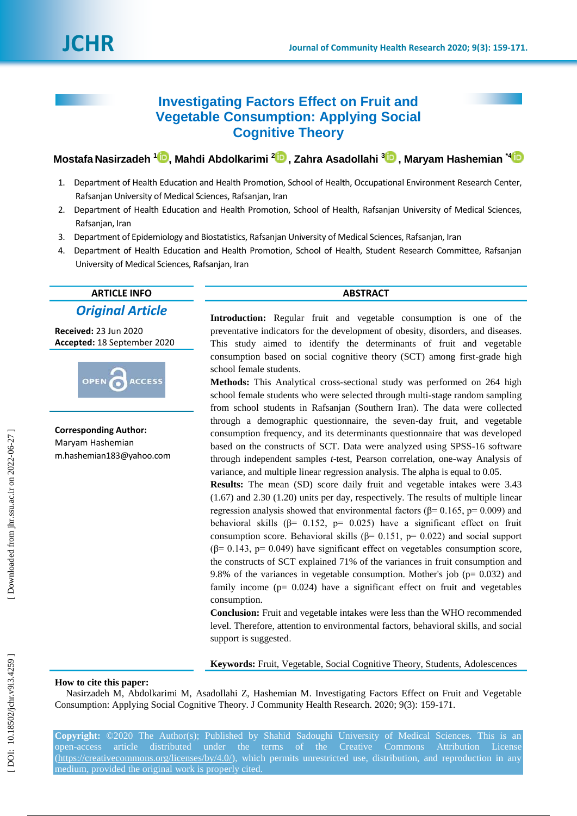## **Investigating Factors Effect on Fruit and Vegetable Consumption: Applying Social Cognitive Theory**

**Mostafa Nasirzadeh 1 [,](https://orcid.org/0000-0003-0934-4697) Mahdi Abdolkarimi [2](https://orcid.org/0000-0002-2781-2821) , Zahra Asadollahi [3](https://orcid.org/0000-0002-1503-8373) , Maryam Hashemian \* [4](https://orcid.org/0000-0003-2729-8540)**

- 1 . Department of Health Education and Health Promotion, School of Health, Occupational Environment Research Center, Rafsanjan University of Medical Sciences, Rafsanjan, Iran
- 2 . Department of Health Education and Health Promotion, School of Health, Rafsanjan University of Medical Sciences, Rafsanjan, Iran
- 3 . Department of Epidemiology and Biostatistics, Rafsanjan University of Medical Sciences, Rafsanjan, Iran
- 4 . Department of Health Education and Health Promotion, School of Health, Student Research Committee, Rafsanjan University of Medical Sciences, Rafsanjan, Iran

# **ARTICLE INFO ABSTRACT**

*Original Article*

**Received:** 23 J un 2020 **Accepted:** 1 8 September 2020



**Corresponding Author:** Maryam Hashemian m.hashemian183@yahoo.com

**Introduction:** Regular fruit and vegetable consumption is one of the preventative indicators for the development of obesity, disorders, and diseases. This study aimed to identify the determinants of fruit and vegetable consumption based on social cognitive theory (SCT) among first -grade high school female students.

**Methods:** This Analytical cross -sectional study was performed on 264 high school female students who were selected through multi -stage random sampling from school students in Rafsanjan (Southern Iran). The data were collected through a demographic questionnaire, the seven -day fruit, and vegetable consumption frequency, and its determinants questionnaire that was developed based on the constructs of SCT. Data were analyzed using SPSS -16 software through independent samples *t*-test, Pearson correlation, one-way Analysis of variance, and multiple linear regression analysis. The alpha is equal to 0.05.

**Results:** The mean (SD) score daily fruit and vegetable intakes were 3.43 (1.67) and 2.30 (1.20) units per day, respectively. The results of multiple linear regression analysis showed that environmental factors ( $β = 0.165$ ,  $p = 0.009$ ) and behavioral skills ( $\beta$ = 0.152, p= 0.025) have a significant effect on fruit consumption score. Behavioral skills ( $\beta$ = 0.151, p= 0.022) and social support  $(\beta = 0.143, p = 0.049)$  have significant effect on vegetables consumption score, the constructs of SCT explained 71% of the variances in fruit consumption and 9.8% of the variances in vegetable consumption. Mother's job ( $p= 0.032$ ) and family income  $(p= 0.024)$  have a significant effect on fruit and vegetables consumption.

**Conclusion:** Fruit and vegetable intakes were less than the WHO recommended level. Therefore, attention to environmental factors, behavioral skills, and social support is suggested .

**Keywords:** Fruit, Vegetable, Social Cognitive Theory, Students, Adolescences

#### **How to cite this paper:**

Nasirzadeh M, Abdolkarimi M, Asadollahi Z, Hashemian M. Investigating Factors Effect on Fruit and Vegetable Consumption: Applying Social Cognitive Theory. J Community Health Research. 2020; 9(3): 159-171.

**Copyright:** ©2020 The Author(s); Published by Shahid Sadoughi University of Medical Sciences. This is an open-access article distributed under the terms of the Creative Commons Attribution License [\(https://creativecommons.org/licenses/by/4.0/\)](https://creativecommons.org/licenses/by/4.0/), which permits unrestricted use, distribution, and reproduction in any medium, provided the original work is properly cited.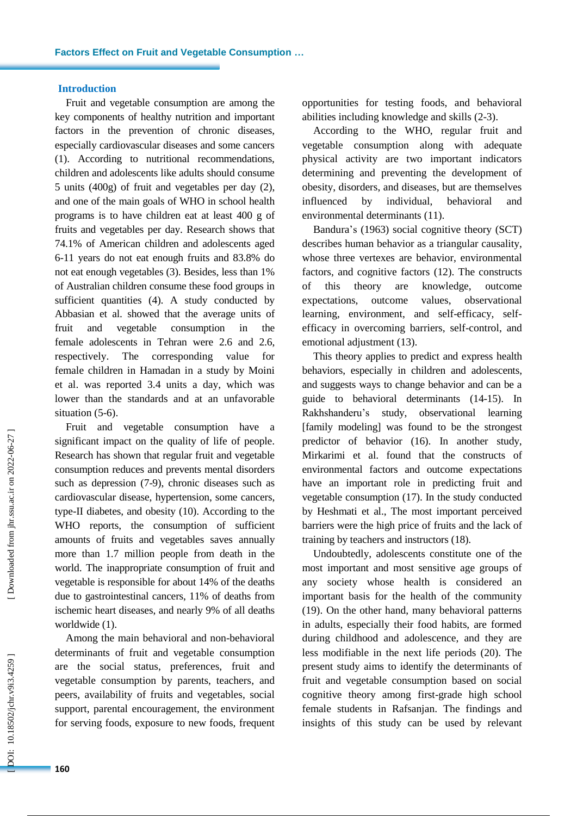#### **Introduction**

Fruit and vegetable consumption are among the key components of healthy nutrition and important factors in the prevention of chronic diseases, especially cardiovascular diseases and some cancers (1). According to nutritional recommendations, children and adolescents like adults should consume 5 units (400g) of fruit and vegetables per day ( 2 ), and one of the main goals of WHO in school health programs is to have children eat at least 400 g of fruits and vegetables per day. Research shows that 74.1% of American children and adolescents aged 6-11 years do not eat enough fruits and 83.8% do not eat enough vegetables ( 3 ). Besides, less than 1% of Australian children consume these food groups in sufficient quantities (4). A study conducted by Abbasian et al. showed that the average unit s of fruit and vegetable consumption in the female adolescents in Tehran were 2 . 6 and 2.6, respectively. The corresponding value for female children in Hamadan in a study by Moini et al. was reported 3.4 units a day, which was lower than the standards and at an unfavorable situation (5-6).

F ruit and vegetable consumption have a significant impact on the quality of life of people. Research has shown that regular fruit and vegetable consumption reduces and prevents mental disorders such as depression  $(7-9)$ , chronic diseases such as cardiovascular disease, hypertension, some cancers, type -II diabetes , and obesity ( 1 0 ). According to the WHO reports, the consumption of sufficient amounts of fruits and vegetables saves annually more than 1.7 million people from death in the world. The inappropriate consumption of fruit and vegetable is responsible for about 14% of the deaths due to gastrointestinal cancers, 11% of deaths from ischemic heart diseases, and nearly 9% of all deaths worldwide (1).

Among the main behavioral and non -behavioral determinants of fruit and vegetable consumption are the social status, preferences, fruit and vegetable consumption by parents, teachers , and peers, availability of fruits and vegetables, social support, parental encouragement, the environment for serving foods, exposure to new foods, frequent

opportunities for testing foods, and behavioral abilities including knowledge and skills (2-3).

According to the WHO, regular fruit and vegetable consumption along with adequate physical activity are two important indicators determining and preventing the development of obesity, disorders , and diseases, but are themselves influenced by individual, behavioral and environmental determinants (1 1 ).

Bandura's (1963) social cognitive theory (SCT) describes human behavior as a triangular causality, whose three vertexes are behavior, environmental factors, and cognitive factors ( 1 2 ). The constructs of this theory are knowledge, outcome expectations, outcome values, observational learning, environment, and self-efficacy, selfefficacy in overcoming barriers, self-control, and emotional adjustment (13).

This theory applies to predict and express health behaviors, especially in children and adolescents , and suggests ways to change behavior and can be a guide to behavioral determinants (14-15). In Rakhshanderu's study, observational learning [family modeling] was found to be the strongest predictor of behavior (16). In another study, Mirkarimi et al. found that the constructs of environmental factors and outcome expectations have an important role in predicting fruit and vegetable consumption ( 1 7 ). In the study conducted by Heshmati et al., The most important perceived barriers were the high price of fruits and the lack of training by teachers and instructors ( 1 8 ) .

Undoubtedly, adolescents constitute one of the most important and most sensitive age groups of any society whose health is considered an important basis for the health of the community (19). On the other hand, many behavioral patterns in adults, especially their food habits, are formed during childhood and adolescence, and they are less modifiable in the next life periods ( 2 0 ). The present study aims to identify the determinants of fruit and vegetable consumption based on social cognitive theory among first -grade high school female students in Rafsanjan. The findings and insights of this study can be used by relevant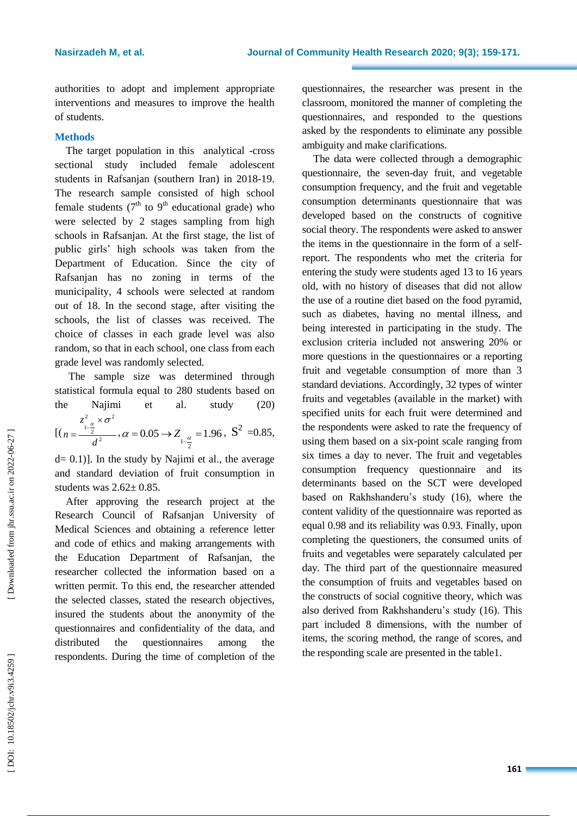authorities to adopt and implement appropriate interventions and measures to improve the health of students.

#### **Methods**

The target population in this analytical -cross sectional study included female adolescent students in Rafsanjan (southern Iran ) in 2018 -19. The research sample consisted of high school female students ( $7<sup>th</sup>$  to  $9<sup>th</sup>$  educational grade) who were selected by 2 stage s sampling from high schools in Rafsanjan. At the first stage , the list of public girls' high schools was taken from the Department of Education. Since the city of Rafsanjan has no zoning in terms of the municipality, 4 schools were selected at random out of 18. In the second stage, after visiting the schools, the list of classes was received. The choice of classes in each grade level was also random, so that in each school, one class from each grade level was randomly selected.

The sample size was determined through statistical formula equal to 280 students based on the Najimi et al study  $(20)$ 2

$$
[(n = \frac{z_{1-\frac{\alpha}{2}}^2}{d^2}, \alpha = 0.05 \rightarrow Z_{1-\frac{\alpha}{2}} = 1.96, S^2 = 0.85,
$$

d= 0.1) ]. In the study by Najimi et al., the average and standard deviation of fruit consumption in students was  $2.62 \pm 0.85$ .

After approving the research project at the Research Council of Rafsanjan University of Medical Sciences and obtaining a reference letter and code of ethics and making arrangements with the Education Department of Rafsanjan, the researcher collected the information based on a written permit. To this end, the researcher attended the selected classes, stated the research objectives, insured the students about the anonymity of the questionnaires and confidentiality of the data, and distributed the questionnaires among the respondents. During the time of completion of the

questionnaire s, the researcher was present in the classroom, monitored the manner of completing the questionnaires , and responded to the questions asked by the respondents to eliminate any possible ambiguity and make clarifications.

The data were collected through a demographic questionnaire, the seven -day fruit , and vegetable consumption frequency, and the fruit and vegetable consumption determinants questionnaire that was developed based on the constructs of cognitive social theory. The respondents were asked to answer the items in the questionnaire in the form of a selfreport. The respondents who met the criteria for entering the study were students aged 13 to 16 years old, with no history of diseases that did not allow the use of a routine diet based on the food pyramid, such as diabetes, having no mental illness, and being interested in participating in the study . The exclusion criteria included not answering 20% or more questions in the questionnaires or a reporting fruit and vegetable consumption of more than 3 standard deviations. Accordingly, 32 types of winter fruits and vegetables (available in the market ) with specified units for each fruit were determined and the respondents were asked to rate the frequency of using them based on a six-point scale ranging from six times a day to never. The fruit and vegetables consumption frequency questionnaire and its determinants based on the SCT were developed based on Rakhshanderu's study ( 1 6 ), where the content validity of the questionnaire was reported as equal 0.98 and its reliability was 0.93. Finally, upon completing the questioners, the consumed units of fruit s and vegetables were separately calculated per day. The third part of the questionnaire measured the consumptio n of fruits and vegetables based on the constructs of social cognitive theory, which was also derived from Rakhshanderu's study ( 1 6 ). This part included 8 dimensions, with the number of items, the scoring method, the range of scores, and the responding scale are presented in the table1.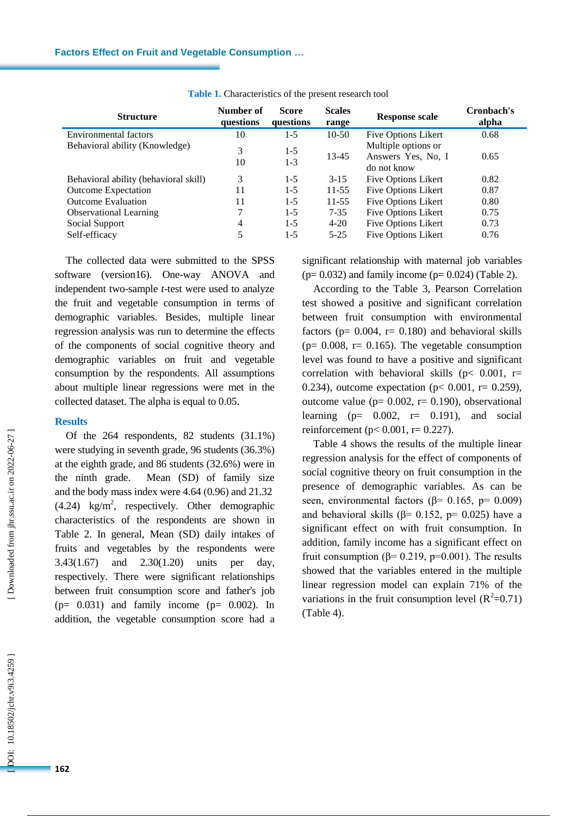| <b>Structure</b>                      | Number of<br>questions | <b>Score</b><br>questions | <b>Scales</b><br>range | <b>Response scale</b>                                    | Cronbach's<br>alpha |
|---------------------------------------|------------------------|---------------------------|------------------------|----------------------------------------------------------|---------------------|
| Environmental factors                 | 10                     | $1-5$                     | $10-50$                | <b>Five Options Likert</b>                               | 0.68                |
| Behavioral ability (Knowledge)        | 3<br>10                | $1-5$<br>$1 - 3$          | 13-45                  | Multiple options or<br>Answers Yes, No, I<br>do not know | 0.65                |
| Behavioral ability (behavioral skill) | 3                      | $1-5$                     | $3 - 15$               | <b>Five Options Likert</b>                               | 0.82                |
| <b>Outcome Expectation</b>            | 11                     | $1-5$                     | $11 - 55$              | <b>Five Options Likert</b>                               | 0.87                |
| <b>Outcome Evaluation</b>             | 11                     | $1 - 5$                   | $11 - 55$              | Five Options Likert                                      | 0.80                |
| <b>Observational Learning</b>         | 7                      | $1 - 5$                   | $7 - 35$               | <b>Five Options Likert</b>                               | 0.75                |
| Social Support                        | 4                      | $1 - 5$                   | $4 - 20$               | Five Options Likert                                      | 0.73                |
| Self-efficacy                         | 5                      | $1 - 5$                   | $5 - 25$               | <b>Five Options Likert</b>                               | 0.76                |

#### **Table 1 .** Characteristics of the present research tool

The collected data were submitted to the SPSS software (version16). One -way ANOVA and independent two -sample *t* -test were used to analyze the fruit and vegetable consumption in terms of demographic variables. Besides , multiple linear regression analysis was run to determine the effects of the components of social cognitive theory and demographic variables on fruit and vegetable consumption by the respondents. All assumptions about multiple linear regressions were met in the collected dataset. The alpha is equal to 0.05 .

#### **Results**

Of the 264 respondents, 82 students (31.1%) were studying in seventh grade, 96 students (36.3%) at the eighth grade, and 86 students (32.6%) were in the ninth grade. Mean (SD) of family size and the body mass index were  $4.64$   $(0.96)$  and  $21.32$  $(4.24)$  kg/m<sup>2</sup>, respectively. Other demographic characteristics of the respondents are shown in Table 2. In general, Mean (SD) daily intakes of fruits and vegetables by the respondents were 3.43 (1.67 ) and 2.30 (1.20 ) units per day, respectively. There were significant relationships between fruit consumptio n score and father's job  $(p= 0.031)$  and family income  $(p= 0.002)$ . In addition, the vegetable consumption score had a

significant relationship with maternal job variables  $(p= 0.032)$  and family income  $(p= 0.024)$  (Table 2).

According to the Table 3, Pearson Correlation test showed a positive and significant correlation between fruit consumption with environmental factors ( $p= 0.004$ ,  $r= 0.180$ ) and behavioral skills ( $p= 0.008$ ,  $r= 0.165$ ). The vegetable consumption level was found to have a positive and significant correlation with behavioral skills ( $p < 0.001$ ,  $r =$ 0.234), outcome expectation ( $p < 0.001$ ,  $r = 0.259$ ), outcome value ( $p= 0.002$ ,  $r= 0.190$ ), observational learning  $(p= 0.002, r= 0.191)$ , and social reinforcement ( $p < 0.001$ ,  $r = 0.227$ ).

Table 4 shows the results of the multiple linear regression analysis for the effect of components of social cognitive theory on fruit consumption in the presence of demographic variables. As can be seen, environmental factors ( $\beta$ = 0.165, p= 0.009) and behavioral skills ( $\beta$ = 0.152, p= 0.025) have a significant effect on with fruit consumption. In addition, family income has a significant effect on fruit consumption ( $\beta$ = 0.219, p=0.001). The results showed that the variables entered in the multiple linear regression model can explain 71% of the variations in the fruit consumption level  $(R^2=0.71)$ (Table 4).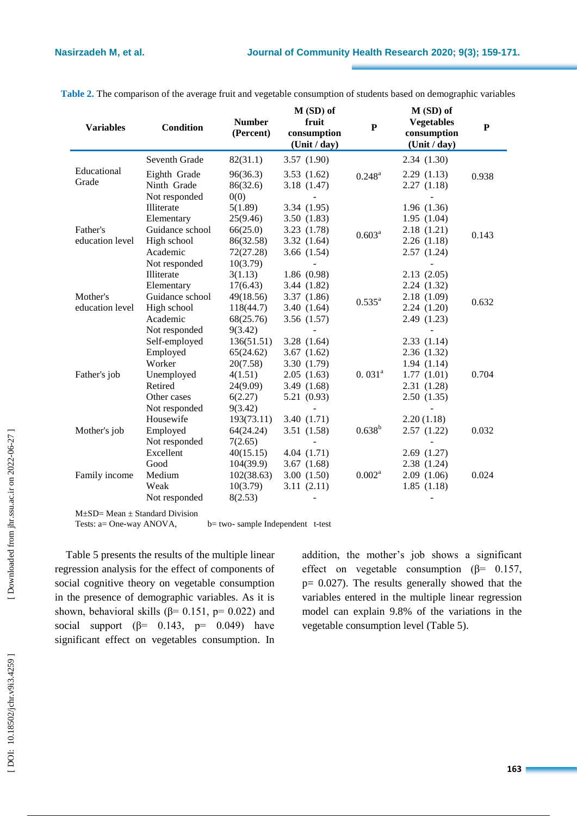| <b>Variables</b> | <b>Condition</b> | <b>Number</b><br>(Percent) | $M(SD)$ of<br>fruit<br>consumption<br>(Unit / day) | $\mathbf P$        | $M(SD)$ of<br><b>Vegetables</b><br>consumption<br>(Unit / day) | ${\bf P}$ |
|------------------|------------------|----------------------------|----------------------------------------------------|--------------------|----------------------------------------------------------------|-----------|
|                  | Seventh Grade    | 82(31.1)                   | 3.57(1.90)                                         |                    | 2.34(1.30)                                                     |           |
| Educational      | Eighth Grade     | 96(36.3)                   | 3.53(1.62)                                         | $0.248^{\rm a}$    | 2.29(1.13)                                                     | 0.938     |
| Grade            | Ninth Grade      | 86(32.6)                   | 3.18(1.47)                                         |                    | 2.27(1.18)                                                     |           |
|                  | Not responded    | 0(0)                       |                                                    |                    |                                                                |           |
|                  | Illiterate       | 5(1.89)                    | 3.34 (1.95)                                        |                    | 1.96(1.36)                                                     |           |
|                  | Elementary       | 25(9.46)                   | 3.50(1.83)                                         |                    | 1.95(1.04)                                                     | 0.143     |
| Father's         | Guidance school  | 66(25.0)                   | 3.23 (1.78)                                        | $0.603^{a}$        | 2.18 (1.21)                                                    |           |
| education level  | High school      | 86(32.58)                  | 3.32(1.64)                                         |                    | 2.26(1.18)                                                     |           |
|                  | Academic         | 72(27.28)                  | 3.66(1.54)                                         |                    | 2.57(1.24)                                                     |           |
|                  | Not responded    | 10(3.79)                   |                                                    |                    |                                                                |           |
|                  | Illiterate       | 3(1.13)                    | 1.86(0.98)                                         | $0.535^{a}$        | 2.13(2.05)                                                     | 0.632     |
|                  | Elementary       | 17(6.43)                   | 3.44(1.82)                                         |                    | 2.24(1.32)                                                     |           |
| Mother's         | Guidance school  | 49(18.56)                  | 3.37 (1.86)                                        |                    | 2.18 (1.09)                                                    |           |
| education level  | High school      | 118(44.7)                  | 3.40(1.64)                                         |                    | 2.24(1.20)                                                     |           |
|                  | Academic         | 68(25.76)                  | 3.56(1.57)                                         |                    | 2.49 (1.23)                                                    |           |
|                  | Not responded    | 9(3.42)                    |                                                    |                    |                                                                |           |
|                  | Self-employed    | 136(51.51)                 | 3.28(1.64)                                         |                    | 2.33(1.14)                                                     |           |
|                  | Employed         | 65(24.62)                  | 3.67(1.62)                                         |                    | 2.36(1.32)                                                     |           |
|                  | Worker           | 20(7.58)                   | 3.30 (1.79)                                        |                    | 1.94(1.14)                                                     |           |
| Father's job     | Unemployed       | 4(1.51)                    | 2.05(1.63)                                         | 0.031 <sup>a</sup> | 1.77(1.01)                                                     | 0.704     |
|                  | Retired          | 24(9.09)                   | 3.49(1.68)                                         |                    | 2.31 (1.28)                                                    |           |
|                  | Other cases      | 6(2.27)                    | 5.21 (0.93)                                        |                    | 2.50(1.35)                                                     |           |
|                  | Not responded    | 9(3.42)                    |                                                    |                    |                                                                |           |
|                  | Housewife        | 193(73.11)                 | 3.40 (1.71)                                        |                    | 2.20(1.18)                                                     |           |
| Mother's job     | Employed         | 64(24.24)                  | 3.51(1.58)                                         | $0.638^{b}$        | 2.57(1.22)                                                     | 0.032     |
|                  | Not responded    | 7(2.65)                    |                                                    |                    |                                                                |           |
|                  | Excellent        | 40(15.15)                  | 4.04(1.71)                                         |                    | 2.69(1.27)                                                     |           |
|                  | Good             | 104(39.9)                  | 3.67(1.68)                                         |                    | 2.38 (1.24)                                                    |           |
| Family income    | Medium           | 102(38.63)                 | 3.00(1.50)                                         | $0.002^a$          | 2.09(1.06)                                                     | 0.024     |
|                  | Weak             | 10(3.79)                   | 3.11(2.11)                                         |                    | 1.85(1.18)                                                     |           |
|                  | Not responded    | 8(2.53)                    | $\sim$                                             |                    |                                                                |           |

**Table 2.** The comparison of the average fruit and vegetable consumption of students based on demographic variables

M±SD= Mean ± Standard Division

Tests:  $a = One-way ANOVA$ ,  $b = two$ - sample Independent t-test

Table 5 presents the results of the multiple linear regression analysis for the effect of components of social cognitive theory on vegetable consumption in the presence of demographic variables. As it is shown, behavioral skills ( $\beta$ = 0.151, p= 0.022) and social support ( $\beta$ = 0.143, p= 0.049) have significant effect on vegetables consumption. In addition, the mother's job shows a significant effect on vegetable consumption ( $\beta$ = 0.157,  $p= 0.027$ ). The results generally showed that the variables entered in the multiple linear regression model can explain 9.8% of the variations in the vegetable consumption level (Table 5).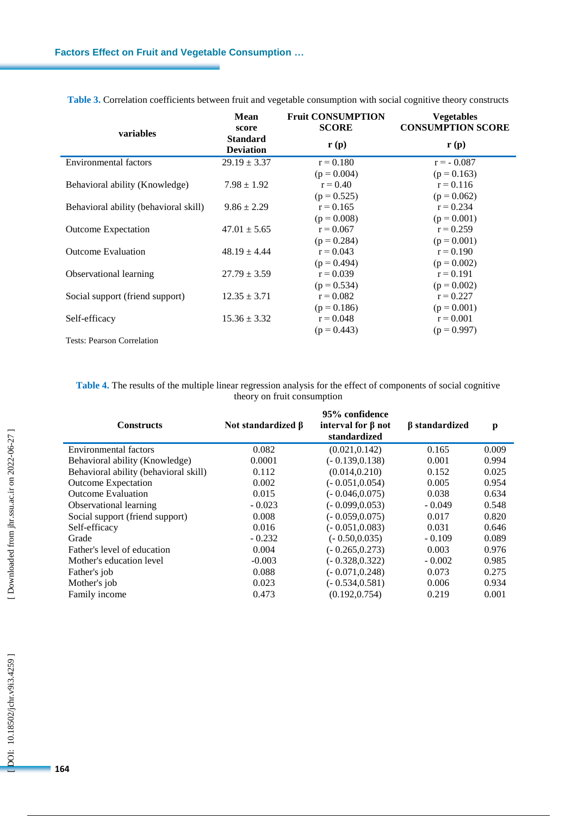|                                       | <b>Mean</b><br>score                | <b>Fruit CONSUMPTION</b><br><b>SCORE</b> | <b>Vegetables</b><br><b>CONSUMPTION SCORE</b> |  |
|---------------------------------------|-------------------------------------|------------------------------------------|-----------------------------------------------|--|
| variables                             | <b>Standard</b><br><b>Deviation</b> | $\mathbf{r}(\mathbf{p})$                 | $\mathbf{r}(\mathbf{p})$                      |  |
| <b>Environmental factors</b>          | $29.19 \pm 3.37$                    | $r = 0.180$                              | $r = -0.087$                                  |  |
|                                       |                                     | $(p = 0.004)$                            | $(p = 0.163)$                                 |  |
| Behavioral ability (Knowledge)        | $7.98 \pm 1.92$                     | $r = 0.40$                               | $r = 0.116$                                   |  |
|                                       |                                     | $(p = 0.525)$                            | $(p = 0.062)$                                 |  |
| Behavioral ability (behavioral skill) | $9.86 \pm 2.29$                     | $r = 0.165$                              | $r = 0.234$                                   |  |
|                                       |                                     | $(p = 0.008)$                            | $(p = 0.001)$                                 |  |
| <b>Outcome Expectation</b>            | $47.01 \pm 5.65$                    | $r = 0.067$                              | $r = 0.259$                                   |  |
|                                       |                                     | $(p = 0.284)$                            | $(p = 0.001)$                                 |  |
| <b>Outcome Evaluation</b>             | $48.19 \pm 4.44$                    | $r = 0.043$                              | $r = 0.190$                                   |  |
|                                       |                                     | $(p = 0.494)$                            | $(p = 0.002)$                                 |  |
| Observational learning                | $27.79 \pm 3.59$                    | $r = 0.039$                              | $r = 0.191$                                   |  |
|                                       |                                     | $(p = 0.534)$                            | $(p = 0.002)$                                 |  |
| Social support (friend support)       | $12.35 \pm 3.71$                    | $r = 0.082$                              | $r = 0.227$                                   |  |
|                                       |                                     | $(p = 0.186)$                            | $(p = 0.001)$                                 |  |
| Self-efficacy                         | $15.36 \pm 3.32$                    | $r = 0.048$                              | $r = 0.001$                                   |  |
|                                       |                                     | $(p = 0.443)$                            | $(p = 0.997)$                                 |  |
| <b>Tests: Pearson Correlation</b>     |                                     |                                          |                                               |  |

**Table 3.** Correlation coefficients between fruit and vegetable consumption with social cognitive theory constructs

**Table 4 .** The results of the multiple linear regression analysis for the effect of components of social cognitive theory on fruit consumption

| <b>Constructs</b>                     | Not standardized β | 95% confidence<br>interval for $\beta$ not<br>standardized | $\beta$ standardized | p     |
|---------------------------------------|--------------------|------------------------------------------------------------|----------------------|-------|
| <b>Environmental factors</b>          | 0.082              | (0.021, 0.142)                                             | 0.165                | 0.009 |
| Behavioral ability (Knowledge)        | 0.0001             | $(-0.139, 0.138)$                                          | 0.001                | 0.994 |
| Behavioral ability (behavioral skill) | 0.112              | (0.014, 0.210)                                             | 0.152                | 0.025 |
| <b>Outcome Expectation</b>            | 0.002              | $(-0.051, 0.054)$                                          | 0.005                | 0.954 |
| <b>Outcome Evaluation</b>             | 0.015              | $(-0.046, 0.075)$                                          | 0.038                | 0.634 |
| Observational learning                | $-0.023$           | $(-0.099, 0.053)$                                          | $-0.049$             | 0.548 |
| Social support (friend support)       | 0.008              | $(-0.059.0.075)$                                           | 0.017                | 0.820 |
| Self-efficacy                         | 0.016              | $(-0.051.0.083)$                                           | 0.031                | 0.646 |
| Grade                                 | $-0.232$           | $(-0.50, 0.035)$                                           | $-0.109$             | 0.089 |
| Father's level of education           | 0.004              | $(-0.265, 0.273)$                                          | 0.003                | 0.976 |
| Mother's education level              | $-0.003$           | $(-0.328, 0.322)$                                          | $-0.002$             | 0.985 |
| Father's job                          | 0.088              | $(-0.071, 0.248)$                                          | 0.073                | 0.275 |
| Mother's job                          | 0.023              | $(-0.534, 0.581)$                                          | 0.006                | 0.934 |
| Family income                         | 0.473              | (0.192.0.754)                                              | 0.219                | 0.001 |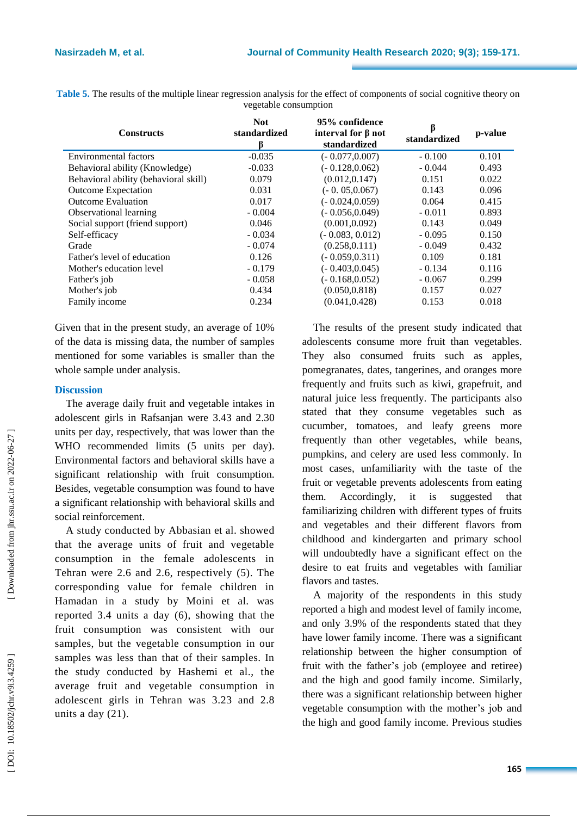**Table 5.** The results of the multiple linear regression analysis for the effect of components of social cognitive theory on vegetable consumption

| <b>Constructs</b>                     | <b>Not</b><br>standardized<br>B | 95% confidence<br>interval for $\beta$ not<br>standardized | standardized | p-value |
|---------------------------------------|---------------------------------|------------------------------------------------------------|--------------|---------|
| Environmental factors                 | $-0.035$                        | $(-0.077, 0.007)$                                          | $-0.100$     | 0.101   |
| Behavioral ability (Knowledge)        | $-0.033$                        | $(-0.128, 0.062)$                                          | $-0.044$     | 0.493   |
| Behavioral ability (behavioral skill) | 0.079                           | (0.012, 0.147)                                             | 0.151        | 0.022   |
| <b>Outcome Expectation</b>            | 0.031                           | $(-0.05,0.067)$                                            | 0.143        | 0.096   |
| <b>Outcome Evaluation</b>             | 0.017                           | $(-0.024, 0.059)$                                          | 0.064        | 0.415   |
| Observational learning                | $-0.004$                        | $(-0.056, 0.049)$                                          | $-0.011$     | 0.893   |
| Social support (friend support)       | 0.046                           | (0.001, 0.092)                                             | 0.143        | 0.049   |
| Self-efficacy                         | $-0.034$                        | $(-0.083, 0.012)$                                          | $-0.095$     | 0.150   |
| Grade                                 | $-0.074$                        | (0.258.0.111)                                              | $-0.049$     | 0.432   |
| Father's level of education           | 0.126                           | $(-0.059, 0.311)$                                          | 0.109        | 0.181   |
| Mother's education level              | $-0.179$                        | $(-0.403, 0.045)$                                          | $-0.134$     | 0.116   |
| Father's job                          | $-0.058$                        | $(-0.168, 0.052)$                                          | $-0.067$     | 0.299   |
| Mother's job                          | 0.434                           | (0.050, 0.818)                                             | 0.157        | 0.027   |
| Family income                         | 0.234                           | (0.041, 0.428)                                             | 0.153        | 0.018   |

Given that in the present study, an average of 10% of the data is missing data, the number of samples mentioned for some variables is smaller than the whole sample under analysis .

#### **Discussion**

The average daily fruit and vegetable intakes in adolescent girls in Rafsanjan were 3.43 and 2.30 units per day, respectively, that was lower than the WHO recommended limits (5 units per day). Environmental factors and behavioral skills have a significant relationship with fruit consumption. Besides, vegetable consumption was found to have a significant relationship with behavioral skills and social reinforcement.

A study conducted by Abbasian et al. showed that the average units of fruit and vegetable consumption in the female adolescents in Tehran were 2.6 and 2.6, respectively (5). The corresponding value for female children in Hamadan in a study by Moini et al. was reported 3.4 units a day ( 6 ), showing that the fruit consumption was consistent with our samples, but the vegetable consumption in our samples was less than that of their samples. In the study conducted by Hashemi et al., the average fruit and vegetable consumption in adolescent girls in Tehran was 3. 23 and 2.8 units a day (21).

The results of the present study indicated that adolescents consume more fruit than vegetables. They also consumed fruits such as apples, pomegranates, dates, tangerines , and oranges more frequently and fruits such as kiwi, grapefruit, and natural juice less frequently. The participants also stated that they consume vegetables such as cucumber, tomatoes , and leafy greens more frequently than other vegetables, while beans, pumpkins , and celery are used less commonly. In most cases, unfamiliarity with the taste of the fruit or vegetable prevents adolescents from eating them. Accordingly, it is suggested that familiarizing children with different types of fruits and vegetables and their different flavors from childhood and kindergarten and primary school will undoubtedly have a significant effect on the desire to eat fruits and vegetables with familiar flavors and tastes.

A majority of the respondents in this study reported a high and modest level of family income, and only 3.9% of the respondents stated that they have lower family income. There was a significant relationship between the higher consumption of fruit with the father's job (employee and retiree) and the high and good family income. Similarly, there was a significant relationship between higher vegetable consumption with the mother's job and the high and good family income. Previous studies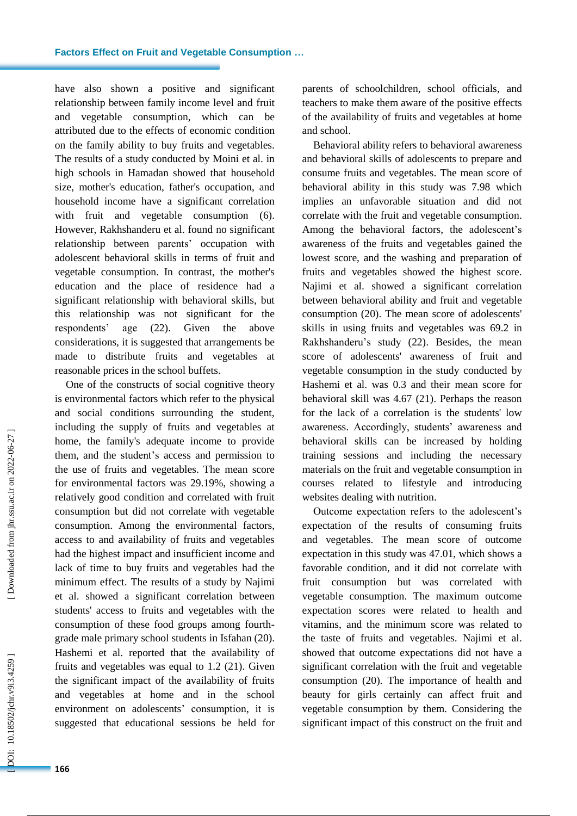have also shown a positive and significant relationship between family income level and fruit and vegetable consumption, which can be attributed due to the effects of economic condition on the family ability to buy fruits and vegetables. The results of a study conducted by Moini et al. in high schools in Hamadan showed that household size, mother's education, father's occupatio n , and household income have a significant correlation with fruit and vegetable consumption (6). However, Rakhshanderu et al. found no significant relationship between parents' occupation with adolescent behavioral skills in terms of fruit and vegetable consumption. In contrast, the mother's education and the place of residence had a significant relationship with behavioral skills, but this relationship was not significant for the respondents'  $(22)$ ). Given the above considerations, it is suggested that arrangements be made to distribute fruits and vegetables at reasonable prices in the school buffet s .

One of the constructs of social cognitive theory is environmental factors which refer to the physical and social conditions surrounding the student, including the supply of fruits and vegetables at home, the family's adequate income to provide them, and the student's access and permission to the use of fruits and vegetables. The mean score for environmental factors was 29.19%, showing a relatively good condition and correlated with fruit consumption but did not correlate with vegetable consumption. Among the environmental factors, access to and availability of fruits and vegetables had the highest impact and insufficient income and lack of time to buy fruits and vegetables had the minimum effect. The results of a study by Najimi et al. showed a significant correlation between students' access to fruits and vegetables with the consumption of these food groups among fourth grade male primary school students in Isfahan ( 2 0 ). Hashemi et al. reported that the availability of fruits and vegetables was equal to 1.2 (21). Given the significant impact of the availability of fruits and vegetables at home and in the school environment on adolescents' consumption, it is suggested that educational sessions be held for

parents of schoolchildren, school officials , and teachers to make them aware of the positive effects of the availability of fruits and vegetables at home and school.

Behavioral ability refers to behavioral awareness and behavioral skills of adolescents to prepare and consume fruits and vegetables. The mean score of behavioral ability in this study was 7.98 which implies an unfavorable situation and did not correlate with the fruit and vegetable consumption. Among the behavioral factors, the adolescent's awareness of the fruits and vegetables gained the lowest score, and the washing and preparation of fruits and vegetables showed the highest score. Najimi et al. showed a significant correlation between behavioral ability and fruit and vegetable consumption ( 2 0 ). The mean score of adolescents' skills in using fruits and vegetables was 69.2 in Rakhshanderu's study ( 2 2 ). Besides, the mean score of adolescents' awareness of fruit and vegetable consumption in the study conducted by Hashemi et al. was 0.3 and their mean score for behavioral skill was 4.67 ( 2 1 ). Perhaps the reason for the lack of a correlation is the students' low awareness. Accordingly, students' awareness and behavioral skills can be increased by holding training sessions and including the necessary materials on the fruit and vegetable consumption in courses related to lifestyle and introducing websites dealing with nutrition .

Outcome expectation refers to the adolescent's expectation of the results of consuming fruits and vegetables. The mean score of outcome expectation in this study was 47.01 , which shows a favorable condition, and it did not correlate with fruit consumption but was correlated with vegetable consumption. The maximum outcome expectation scores were related to health and vitamins, and the minimum score was related to the taste of fruits and vegetables. Najimi et al. showed that outcome expectation s did not have a significant correlation with the fruit and vegetable consumption ( 2 0 ). The importance of health and beauty for girls certainly can affect fruit and vegetable consumption by them. Considering the significant impact of this construct on the fruit and

Downloaded from jhr.ssu.ac.ir on 2022-06-27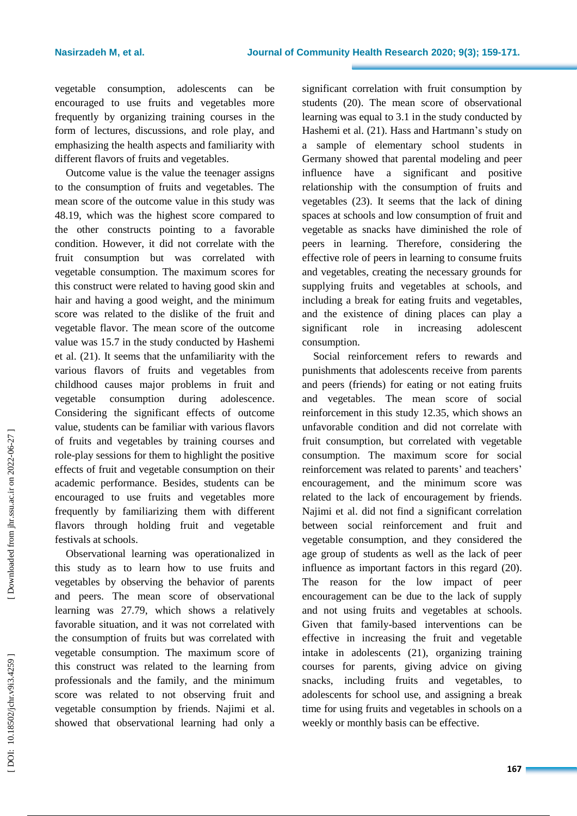vegetable consumption, adolescents can be encourage d to use fruits and vegetables more frequently by organizing training courses in the form of lectures, discussions, and role play, and emphasizing the health aspects and familiarity with different flavors of fruits and vegetables.<br>Outcome value is the value the teenager assigns

to the consumption of fruits and vegetables. The mean score of the outcome value in this study was 48.1 9, which was the highest score compared to the other constructs pointing to a favorable condition. However, it did not correlate with the fruit consumption but was correlated with vegetable consumption. The maximum score s for this construct were related to having good skin and hair and having a good weight, and the minimum score was related to the dislike of the fruit and vegetable flavor. The mean score of the outcome value was 15.7 in the study conducted by Hashemi et al. ( 2 1 ). It seems that the unfamiliarity with the various flavors of fruits and vegetables from childhood causes major problems in fruit and vegetable consumption during adolescence. Considering the significant effects of outcome value, students can be familiar with various flavors of fruits and vegetables by training courses and role -play sessions for them to highlight the positive effects of fruit and vegetable consumption on their academic performance. Besides, students can be encouraged to use fruits and vegetables more frequently by familiarizing them with different flavors through holding fruit and vegetable festivals at schools .

Observational learning was operationalized in this study as to learn how to use fruits and vegetables by observing the behavior of parents and peers. The mean score of observational learning was 27.79, which shows a relatively favorable situation, and it was not correlated with the consumption of fruits but was correlated with vegetable consumption. The maximum score of this construct was related to the learning from professionals and the family, and the minimum score was related to not observing fruit and vegetable consumption by friends. Najimi et al. showed that observational learning had only a significant correlation with fruit consumption by students ( 2 0 ). The mean score of observational learning was equal to 3.1 in the study conducted by Hashemi et al. ( 2 1 ). Hass and Hartmann's study on a sample of elementary school students in Germany showed that parental modeling and peer influence have a significant and positive relationship with the consumption of fruit s and vegetable s ( 2 3 ). It seems that the lack of dining space s at schools and low consumption of fruit and vegetable as snacks have diminished the role of peers in learning. Therefore, considering the effective role of peers in learning to consume fruits and vegetables, creating the necessary grounds for supplying fruits and vegetables at schools, and including a break for eating fruit s and vegetables, and the existence of dining places can play a significant role in increasing adolescent consumption.

Social reinforcement refers to rewards and punishment s that adolescents receive from parents and peers (friends ) for eating or not eating fruits and vegetables. The mean score of social reinforcement in this study 12.35, which shows an unfavorable condition and did not correlate with fruit consumption, but correlated with vegetable consumption. The maximum score for social reinforcement was related to parents ' and teachers' encouragement, and the minimum score was related to the lack of encouragement by friends. Najimi et al. did not find a significant correlation between social reinforcement and fruit and vegetable consumption, and they considered the age group of students as well as the lack of peer influence as important factors in this regard (20). The reason for the low impact of peer encouragement can be due to the lack of supply and not using fruit s and vegetables at schools. Given that family -based interventions can be effective in increasing the fruit and vegetable intake in adolescents ( 2 1 ), organizing training courses for parents, giving advice on giving snacks, including fruits and vegetables, to adolescents for school use, and assigning a break time for using fruits and vegetables in schools on a weekly or monthly basis can be effective.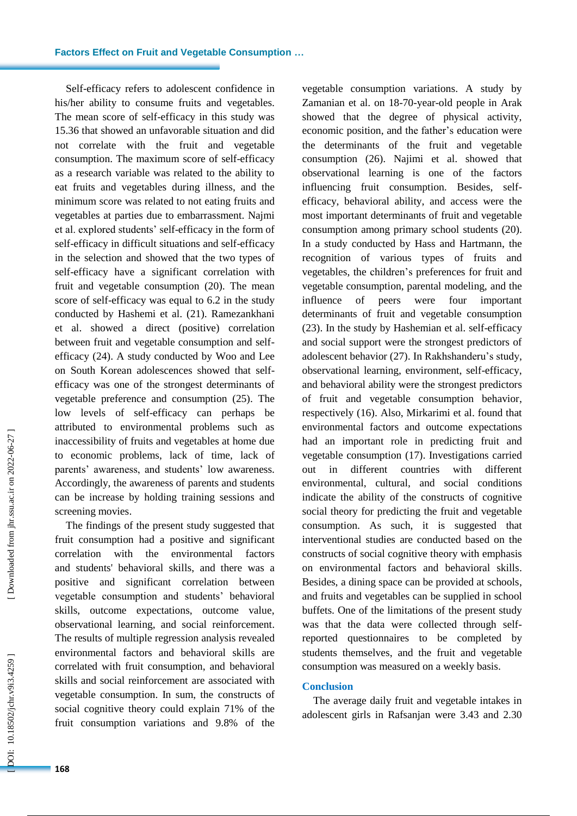Self-efficacy refers to adolescent confidence in his/her ability to consume fruits and vegetables. The mean score of self -efficacy in this study was 15.36 that showed an unfavorable situation and did not correlate with the fruit and vegetable consumption. The maximum score of self-efficacy as a research variable was related to the ability to eat fruits and vegetables during illness, and the minimum score was related to not eating fruits and vegetable s at parties due to embarrassment. Najmi et al. explored students' self-efficacy in the form of self-efficacy in difficult situations and self -efficacy in the selection and showed that the two types of self-efficacy have a significant correlation with fruit and vegetable consumption (20). The mean score of self-efficacy was equal to 6.2 in the study conducted by Hashemi et al. ( 2 1 ). Ramezankhani et al. showed a direct (positive) correlation between fruit and vegetable consumption and self efficacy ( 2 4 ). A study conducted by Woo and Lee on South Korean adolescences showed that selfefficacy was one of the strongest determinants of vegetable preference and consumption ( 2 5 ). The low level s of self-efficacy can perhaps be attributed to environmental problems such as inaccessibility of fruits and vegetables at home due to economic problems, lack of time, lack of parents' awareness, and students' low awareness. Accordingly, the awareness of parents and students can be increase by holding training sessions and screening movies .

The findings of the present study suggested that fruit consumption had a positive and significant correlation with the environmental factors and students' behavioral skills, and there was a positive and significant correlation between vegetable consumption and students' behavioral skills, outcome expectations, outcome value, observational learning , and social reinforcement. The results of multiple regression analysis revealed environmental factors and behavioral skills are correlated with fruit consumption, and behavioral skills and social reinforcement are associated with vegetable consumption. In sum, the constructs of social cognitive theory could explain 71% of the fruit consumption variations and 9.8% of the

vegetable consumption variations. A study by Zamanian et al. on 18-70-year-old people in Arak showed that the degree of physical activity, economic position, and the father's education were the determinants of the fruit and vegetable consumption ( 2 6 ). Najimi et al. showed that observational learning is one of the factors influencing fruit consumption. Besides, selfefficacy, behavioral ability, and access were the most important determinants of fruit and vegetable consumption among primary school students ( 2 0 ). In a study conducted by Hass and Hartmann, the recognition of various types of fruits and vegetables, the children's preferences for fruit and vegetable consumption, parental modeling, and the influence of peers were four important determinants of fruit and vegetable consumption (23). In the study by Hashemian et al. self-efficacy and social support were the strongest predictors of adolescent behavior (27). In Rakhshanderu's study, observational learning, environment, self-efficacy , and behavioral ability were the strongest predictor s of fruit and vegetable consumption behavior, respectively ( 1 6 ). Also, Mirkarimi et al. found that environmental factors and outcome expectation s had an important role in predicting fruit and vegetable consumption ( 1 7 ). Investigations carried out in different countries with different environmental, cultural , and social conditions indicate the ability of the constructs of cognitive social theory for predicting the fruit and vegetable consumption. As such, it is suggested that interventional studies are conducted based on the constructs of social cognitive theory with emphasis on environmental factors and behavioral skills. Besides, a dining space can be provided at schools , and fruits and vegetables can be supplied in school buffets. One of the limitations of the present study was that the data were collected through selfreported questionnaires to be completed by students themselves, and the fruit and vegetable consumption was measured on a weekly basis.

#### **Conclusion**

The average daily fruit and vegetable intakes in adolescent girls in Rafsanjan were 3.43 and 2.30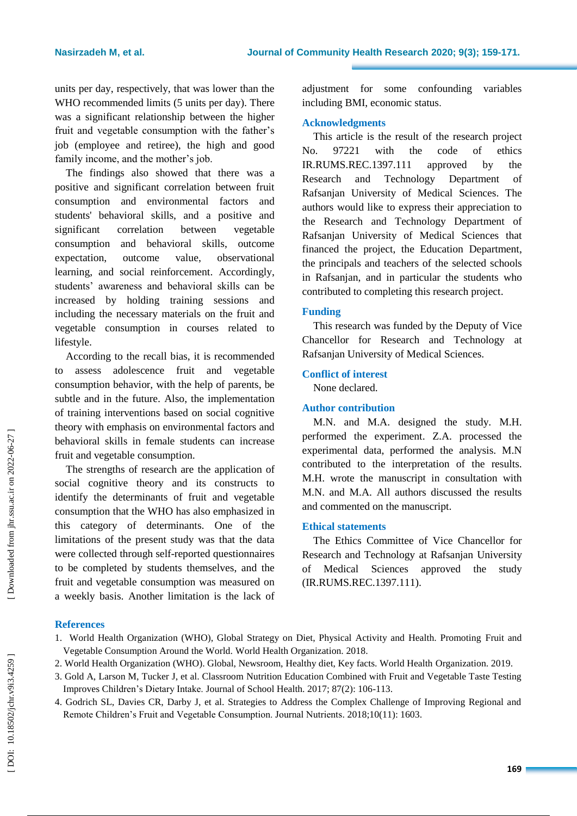units per day, respectively, that was lower than the WHO recommended limits (5 units per day). There was a significant relationship between the higher fruit and vegetable consumption with the father's job (employee and retiree), the high and good family income, and the mother's job.

The findings also showed that there was a positive and significant correlation between fruit consumption and environmental factors and students' behavioral skills, and a positive and significant correlation between vegetable consumption and behavioral skills, outcome expectation, outcome value, observational learning , and social reinforcement. Accordingly, students' awareness and behavioral skills can be increased by holding training sessions and including the necessary materials on the fruit and vegetable consumption in courses related to lifestyle.

According to the recall bias, it is recommended to assess adolescence fruit and vegetable consumption behavior, with the help of parents, be subtle and in the future. Also , the implementation of training interventions based on social cognitive theory with emphasis on environmental factors and behavioral skills in female students can increase fruit and vegetable consumption.

The strengths of research are the application of social cognitive theory and its constructs to identify the determinants of fruit and vegetable consumption that the WHO has also emphasized in this category of determinants. One of the limitation s of the present study was that the data were collected through self-reported questionnaires to be completed by students themselves, and the fruit and vegetable consumption was measured on a weekly basis. Another limitation is the lack of

adjustment for some confounding variables including BMI, economic status .

#### **Acknowledgments**

This article is the result of the research project No. 97221 with the code of ethics IR.RUMS.REC.1397.111 approved by the Research and Technology Department of Rafsanjan University of Medical Sciences. The authors would like to express their appreciation to the Research and Technology Department of Rafsanjan University of Medical Sciences that financed the project, the Education Department, the principals and teachers of the selected schools in Rafsanjan, and in particular the students who contributed to completing this research project.

### **Funding**

This research was funded by the Deputy of Vice Chancellor for Research and Technology at Rafsanjan University of Medical Sciences.

#### **Conflict of interest**

None declared.

### **Author contribution**

M.N. and M.A. designed the study. M.H. performed the experiment. Z.A. processed the experimental data, performed the analysis. M.N contributed to the interpretation of the results. M.H. wrote the manuscript in consultation with M.N. and M.A. All authors discussed the results and commented on the manuscript.

## **Ethical statements**

The Ethics Committee of Vice Chancellor for Research and Technology at Rafsanjan University of Medical Sciences approved the study (IR.RUMS.REC.1397.111).

## **References**

- 1. World Health Organization (WHO), Global Strategy on Diet, Physical Activity and Health. Promoting Fruit and Vegetable Consumption Around the World. World Health Organization. 2018.
- 2. World Health Organization (WHO). Global, Newsroom, Healthy diet, Key facts. World Health Organization. 2019.
- 3. Gold A, Larson M, Tucker J, et al. Classroom Nutrition Education Combined with Fruit and Vegetable Taste Testing Improves Children's Dietary Intake. Journal of School Health. 2017; 87(2): 106 -113.
- 4. Godrich SL, Davies CR, Darby J, et al. Strategies to Address the Complex Challenge of Improving Regional and Remote Children's Fruit and Vegetable Consumption. Journal Nutrients. 2018;10(11): 1603.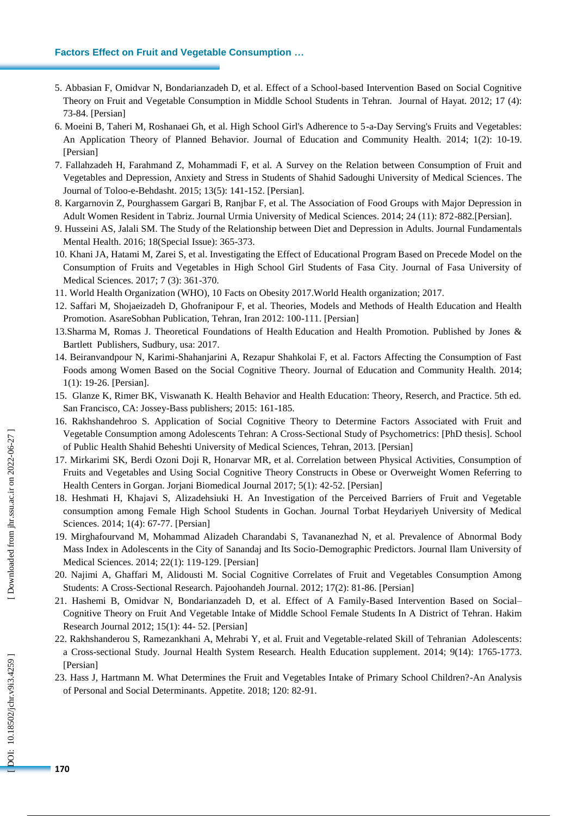#### **Factors Effect on Fruit and Vegetable Consumption …**

- 5. Abbasian F, Omidvar N, Bondarianzadeh D, et al. Effect of a School -based Intervention Based on Social Cognitive Theory on Fruit and Vegetable Consumption in Middle School Students in Tehran. Journal of Hayat. 2012; 17 (4): 73 -84. [Persian]
- 6. Moeini B, Taheri M, Roshanaei Gh, et al. High School Girl's Adherence to 5 a -Day Serving's Fruits and Vegetables: An Application Theory of Planned Behavior. Journal of Education and Community Health. 2014; 1(2): 10 -19. [Persian]
- 7. Fallahzadeh H, F arahmand Z , Mohammadi F, et al. A Survey on the Relation between Consumption of Fruit and Vegetables and Depression, Anxiety and Stress in Students of Shahid Sadoughi University of Medical Sciences. The Journal of Toloo - e - Behdasht. 2015; 13(5): 141 -152. [Persian].
- 8. Kargarnovin Z, Pourghassem Gargari B, Ranjbar F, et al. The Association of Food Groups with Major Depression in Adult Women Resident in Tabriz. Journal Urmia University of Medical Sciences. 2014; 24 (11): 872 -882.[Persian].
- 9. Husseini AS, Jalali SM. The Study of the Relationship between Diet and Depression in Adults. Journal Fundamentals Mental Health . 2016; 18(Special Issue): 365 - 373.
- 10. Khani JA, Hatami M, Zarei S, et al. Investigating the Effect of Educational Program Based on Precede Model on the Consumption of Fruits and Vegetables in High School Girl Students of Fasa City. Journal of Fasa University of Medical Sciences. 2017; 7 (3): 361 -370.
- 11. World Health Organization (WHO), 10 Facts on Obesity 2017.World Health organization; 2017.
- 12. Saffari M, Shojaeizadeh D, Ghofranipour F, et al. Theories, Models and Methods of Health Education and Health Promotion. AsareSobhan Publication, Tehran, Iran 2012: 100-111. [Persian]
- 13.Sharma M, Romas J. Theoretical Foundations of Health Education and Health Promotion. Published by Jones & Bartlett Publishers, Sudbury, usa: 2017.
- 14. Beiranvandpour N, Karimi -Shahanjarini A, Rezapur Shahkolai F, et al. Factors Affecting the Consumption of Fast Foods among Women Based on the Social Cognitive Theory. Journal of Education and Community Health. 2014; 1(1): 19 -26. [Persian].
- 15. Glanze K, Rimer BK, Viswanath K. Health Behavior and Health Education: Theory, Reserch, and Practice. 5th ed. San Francisco, CA: Jossey -Bass publishers; 2015: 161 -185.
- 16. Rakhshandehroo S. Application of Social Cognitive Theory to Determine Factors Associated with Fruit and Vegetable Consumption among Adolescents Tehran: A Cross -Sectional Study of Psychometrics: [PhD thesis]. School of Public Health Shahid Beheshti University of Medical Sciences, Tehran, 2013. [Persian]
- 17. Mirkarimi SK, Berdi Ozoni Doji R, Honarvar MR, et al. Correlation between Physical Activities, Consumption of Fruits and Vegetables and Using Social Cognitive Theory Constructs in Obese or Overweight Women Referring to Health Centers in Gorgan. Jorjani Biomedical Journal 2017; 5(1): 42 -52. [Persian]
- 18. Heshmati H, Khajavi S, Alizadehsiuki H. An Investigation of the Perceived Barriers of Fruit and Vegetable consumption among Female High School Students in Gochan. Journal Torbat Heydariyeh University of Medical Sciences. 2014; 1(4): 67 -77. [Persian]
- 19. Mirghafourvand M, Mohammad Alizadeh Charandabi S, Tavananezhad N, et al. Prevalence of Abnormal Body Mass Index in Adolescents in the City of Sanandaj and Its Socio -Demographic Predictors. Journal Ilam University of Medical Sciences. 2014; 22(1): 119 -129. [Persian]
- 20. Najimi A, Ghaffari M, Alidousti M. Social Cognitive Correlates of Fruit and Vegetables Consumption Among Students: A Cross -Sectional Research. Pajoohandeh Journal. 2012; 17(2): 81 -86. [Persian]
- 21. Hashemi B, Omidvar N, Bondarianzadeh D, et al. Effect of A Family -Based Intervention Based on Social Cognitive Theory on Fruit And Vegetable Intake of Middle School Female Students In A District of Tehran. Hakim Research Journal 2012; 15(1): 44 - 52. [Persian]
- 22. Rakhshanderou S, Ramezankhani A, Mehrabi Y, et al. Fruit and Vegetable -related Skill of Tehranian Adolescents: a Cross -sectional Study. Journal Health System Research. Health Education supplement. 2014; 9(14): 1765 -1773. [Persian]
- 23. Hass J, Hartmann M. What Determines the Fruit and Vegetables Intake of Primary School Children? -An Analysis of Personal and Social Determinants. Appetite. 2018; 120: 82 -91.